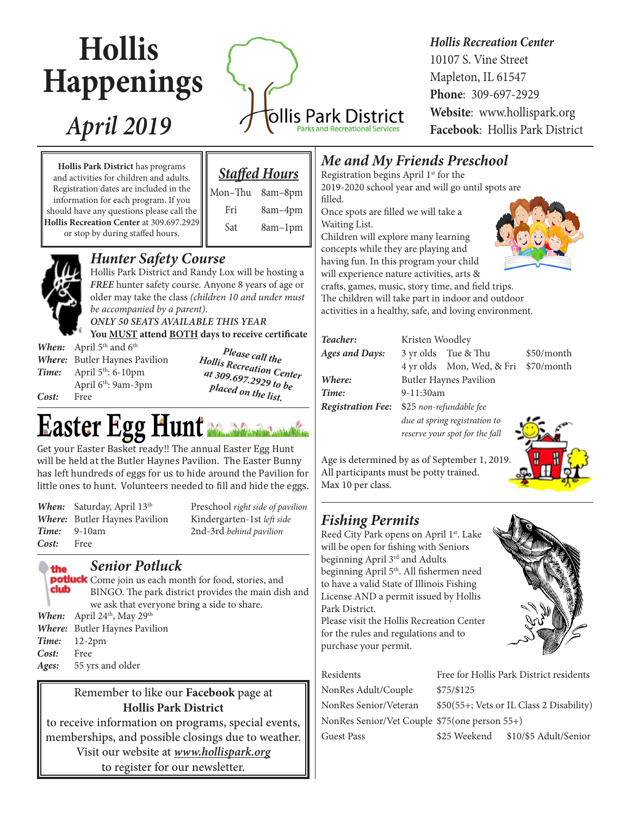# **Hollis Happenings**

# *April 2019*

ollis Park District Parks and Recreational Service

## *Hollis Recreation Center*

10107 S. Vine Street Mapleton, IL 61547 **Phone**: 309-697-2929 **Website**: www.hollispark.org **Facebook**: Hollis Park District

**Hollis Park District** has programs and activities for children and adults. Registration dates are included in the information for each program. If you should have any questions please call the **Hollis Recreation Center** at 309.697.2929 or stop by during staffed hours.

|  | <b>Staffed Hours</b> |
|--|----------------------|
|  |                      |

 Mon–Thu 8am–8pm Fri 8am–4pm Sat 8am-1pm



#### *Hunter Safety Course*

Hollis Park District and Randy Lox will be hosting a *FREE* hunter safety course. Anyone 8 years of age or older may take the class *(children 10 and under must be accompanied by a parent)*.

*ONLY 50 SEATS AVAILABLE THIS YEAR* **You MUST attend BOTH days to receive certificate**

*When:* April 5<sup>th</sup> and 6<sup>th</sup> *Where:* Butler Haynes Pavilion *Time:* April 5<sup>th</sup>: 6-10pm April 6th: 9am-3pm *Cost:* Free

*Please call the Hollis Recreation Center at 309.697.2929 to be placed on the list.*

# Easter Egg Hunt

Get your Easter Basket ready!! The annual Easter Egg Hunt will be held at the Butler Haynes Pavilion. The Easter Bunny has left hundreds of eggs for us to hide around the Pavilion for little ones to hunt. Volunteers needed to fill and hide the eggs.

When: Saturday, April 13<sup>th</sup> *Where:* Butler Haynes Pavilion *Time:* 9-10am *Cost:* Free

the

Preschool *right side of pavilion* Kindergarten-1st *left side* 2nd-3rd *behind pavilion*

*Senior Potluck*

potluck Come join us each month for food, stories, and club BINGO. The park district provides the main dish and we ask that everyone bring a side to share. *When:* April 24<sup>th</sup>, May 29<sup>th</sup> *Where:* Butler Haynes Pavilion *Time:* 12-2pm *Cost:* Free

#### Remember to like our **Facebook** page at **Hollis Park District**

to receive information on programs, special events, memberships, and possible closings due to weather.

Visit our website at *www.hollispark.org* to register for our newsletter.

## *Me and My Friends Preschool*

Registration begins April 1<sup>st</sup> for the 2019-2020 school year and will go until spots are filled.

Once spots are filled we will take a Waiting List.

Children will explore many learning concepts while they are playing and having fun. In this program your child will experience nature activities, arts & crafts, games, music, story time, and field trips.

The children will take part in indoor and outdoor activities in a healthy, safe, and loving environment.

| Teacher:                 | Kristen Woodley               |                                |            |  |
|--------------------------|-------------------------------|--------------------------------|------------|--|
| <b>Ages and Days:</b>    |                               | 3 yr olds Tue & Thu            | \$50/month |  |
|                          |                               | 4 yr olds Mon, Wed, & Fri      | \$70/month |  |
| Where:                   | <b>Butler Haynes Pavilion</b> |                                |            |  |
| Time:                    | 9-11:30am                     |                                |            |  |
| <b>Registration Fee:</b> |                               | \$25 non-refundable fee        |            |  |
|                          | due at spring registration to |                                |            |  |
|                          |                               | reserve your spot for the fall |            |  |



Age is determined by as of September 1, 2019. All participants must be potty trained. Max 10 per class.

# *Fishing Permits*

Reed City Park opens on April 1<sup>st</sup>. Lake will be open for fishing with Seniors beginning April 3rd and Adults beginning April 5<sup>th</sup>. All fishermen need to have a valid State of Illinois Fishing License AND a permit issued by Hollis Park District.

Please visit the Hollis Recreation Center for the rules and regulations and to purchase your permit.